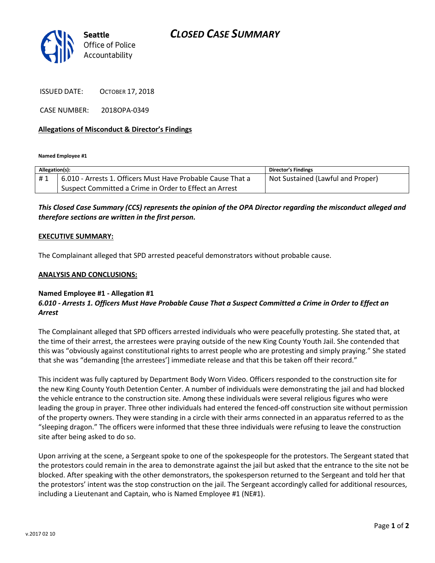# *CLOSED CASE SUMMARY*



ISSUED DATE: OCTOBER 17, 2018

CASE NUMBER: 2018OPA-0349

### **Allegations of Misconduct & Director's Findings**

**Named Employee #1**

| Allegation(s): |                                                             | Director's Findings               |
|----------------|-------------------------------------------------------------|-----------------------------------|
| #1             | 6.010 - Arrests 1. Officers Must Have Probable Cause That a | Not Sustained (Lawful and Proper) |
|                | Suspect Committed a Crime in Order to Effect an Arrest      |                                   |

## *This Closed Case Summary (CCS) represents the opinion of the OPA Director regarding the misconduct alleged and therefore sections are written in the first person.*

#### **EXECUTIVE SUMMARY:**

The Complainant alleged that SPD arrested peaceful demonstrators without probable cause.

#### **ANALYSIS AND CONCLUSIONS:**

#### **Named Employee #1 - Allegation #1** *6.010 - Arrests 1. Officers Must Have Probable Cause That a Suspect Committed a Crime in Order to Effect an Arrest*

The Complainant alleged that SPD officers arrested individuals who were peacefully protesting. She stated that, at the time of their arrest, the arrestees were praying outside of the new King County Youth Jail. She contended that this was "obviously against constitutional rights to arrest people who are protesting and simply praying." She stated that she was "demanding [the arrestees'] immediate release and that this be taken off their record."

This incident was fully captured by Department Body Worn Video. Officers responded to the construction site for the new King County Youth Detention Center. A number of individuals were demonstrating the jail and had blocked the vehicle entrance to the construction site. Among these individuals were several religious figures who were leading the group in prayer. Three other individuals had entered the fenced-off construction site without permission of the property owners. They were standing in a circle with their arms connected in an apparatus referred to as the "sleeping dragon." The officers were informed that these three individuals were refusing to leave the construction site after being asked to do so.

Upon arriving at the scene, a Sergeant spoke to one of the spokespeople for the protestors. The Sergeant stated that the protestors could remain in the area to demonstrate against the jail but asked that the entrance to the site not be blocked. After speaking with the other demonstrators, the spokesperson returned to the Sergeant and told her that the protestors' intent was the stop construction on the jail. The Sergeant accordingly called for additional resources, including a Lieutenant and Captain, who is Named Employee #1 (NE#1).